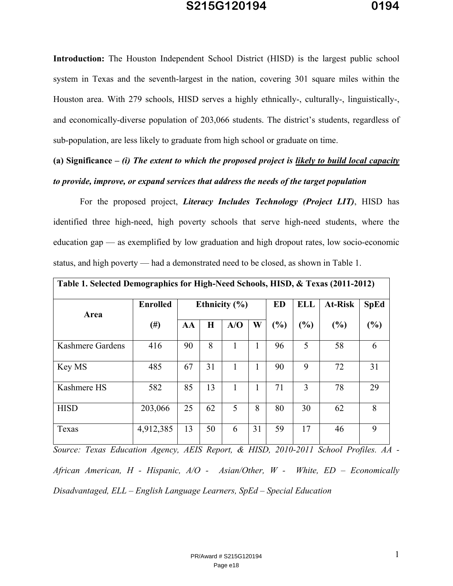**Introduction:** The Houston Independent School District (HISD) is the largest public school system in Texas and the seventh-largest in the nation, covering 301 square miles within the Houston area. With 279 schools, HISD serves a highly ethnically-, culturally-, linguistically-, and economically-diverse population of 203,066 students. The district's students, regardless of sub-population, are less likely to graduate from high school or graduate on time.

### **(a) Significance –** *(i) The extent to which the proposed project is likely to build local capacity to provide, improve, or expand services that address the needs of the target population*

 For the proposed project, *Literacy Includes Technology (Project LIT)*, HISD has identified three high-need, high poverty schools that serve high-need students, where the education gap — as exemplified by low graduation and high dropout rates, low socio-economic status, and high poverty — had a demonstrated need to be closed, as shown in Table 1.

| Table 1. Selected Demographics for High-Need Schools, HISD, & Texas (2011-2012) |                 |                   |         |     |    |           |            |                |             |
|---------------------------------------------------------------------------------|-----------------|-------------------|---------|-----|----|-----------|------------|----------------|-------------|
| Area                                                                            | <b>Enrolled</b> | Ethnicity $(\% )$ |         |     |    | <b>ED</b> | <b>ELL</b> | <b>At-Risk</b> | <b>SpEd</b> |
|                                                                                 | $(\#)$          | AA                | $\bf H$ | A/O | W  | (%)       | (%)        | (%)            | (%)         |
| Kashmere Gardens                                                                | 416             | 90                | 8       |     | ı. | 96        | 5          | 58             | 6           |
| Key MS                                                                          | 485             | 67                | 31      | 1   |    | 90        | 9          | 72             | 31          |
| Kashmere HS                                                                     | 582             | 85                | 13      |     |    | 71        | 3          | 78             | 29          |
| <b>HISD</b>                                                                     | 203,066         | 25                | 62      | 5   | 8  | 80        | 30         | 62             | 8           |
| Texas                                                                           | 4,912,385       | 13                | 50      | 6   | 31 | 59        | 17         | 46             | 9           |

*Source: Texas Education Agency, AEIS Report, & HISD, 2010-2011 School Profiles. AA - African American, H - Hispanic, A/O - Asian/Other, W - White, ED – Economically Disadvantaged, ELL – English Language Learners, SpEd – Special Education*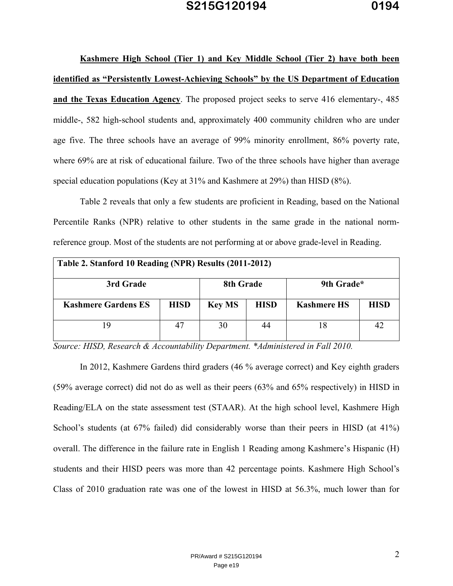**Kashmere High School (Tier 1) and Key Middle School (Tier 2) have both been identified as "Persistently Lowest-Achieving Schools" by the US Department of Education and the Texas Education Agency**. The proposed project seeks to serve 416 elementary-, 485 middle-, 582 high-school students and, approximately 400 community children who are under age five. The three schools have an average of 99% minority enrollment, 86% poverty rate, where 69% are at risk of educational failure. Two of the three schools have higher than average special education populations (Key at 31% and Kashmere at 29%) than HISD (8%).

 Table 2 reveals that only a few students are proficient in Reading, based on the National Percentile Ranks (NPR) relative to other students in the same grade in the national normreference group. Most of the students are not performing at or above grade-level in Reading.

| Table 2. Stanford 10 Reading (NPR) Results (2011-2012) |             |               |             |                    |             |  |
|--------------------------------------------------------|-------------|---------------|-------------|--------------------|-------------|--|
| 3rd Grade                                              |             | 8th Grade     |             | 9th Grade*         |             |  |
| <b>Kashmere Gardens ES</b>                             | <b>HISD</b> | <b>Key MS</b> | <b>HISD</b> | <b>Kashmere HS</b> | <b>HISD</b> |  |
|                                                        |             | 30            | 44          |                    | $4^\circ$   |  |

*Source: HISD, Research & Accountability Department. \*Administered in Fall 2010.* 

 In 2012, Kashmere Gardens third graders (46 % average correct) and Key eighth graders (59% average correct) did not do as well as their peers (63% and 65% respectively) in HISD in Reading/ELA on the state assessment test (STAAR). At the high school level, Kashmere High School's students (at 67% failed) did considerably worse than their peers in HISD (at 41%) overall. The difference in the failure rate in English 1 Reading among Kashmere's Hispanic (H) students and their HISD peers was more than 42 percentage points. Kashmere High School's Class of 2010 graduation rate was one of the lowest in HISD at 56.3%, much lower than for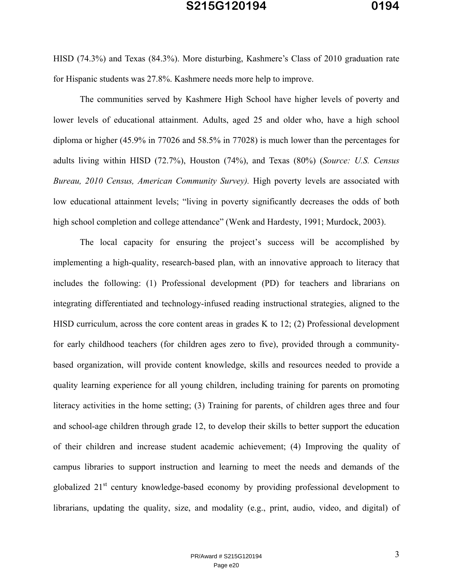HISD (74.3%) and Texas (84.3%). More disturbing, Kashmere's Class of 2010 graduation rate for Hispanic students was 27.8%. Kashmere needs more help to improve.

 The communities served by Kashmere High School have higher levels of poverty and lower levels of educational attainment. Adults, aged 25 and older who, have a high school diploma or higher (45.9% in 77026 and 58.5% in 77028) is much lower than the percentages for adults living within HISD (72.7%), Houston (74%), and Texas (80%) (*Source: U.S. Census Bureau, 2010 Census, American Community Survey).* High poverty levels are associated with low educational attainment levels; "living in poverty significantly decreases the odds of both high school completion and college attendance" (Wenk and Hardesty, 1991; Murdock, 2003).

The local capacity for ensuring the project's success will be accomplished by implementing a high-quality, research-based plan, with an innovative approach to literacy that includes the following: (1) Professional development (PD) for teachers and librarians on integrating differentiated and technology-infused reading instructional strategies, aligned to the HISD curriculum, across the core content areas in grades K to 12; (2) Professional development for early childhood teachers (for children ages zero to five), provided through a communitybased organization, will provide content knowledge, skills and resources needed to provide a quality learning experience for all young children, including training for parents on promoting literacy activities in the home setting; (3) Training for parents, of children ages three and four and school-age children through grade 12, to develop their skills to better support the education of their children and increase student academic achievement; (4) Improving the quality of campus libraries to support instruction and learning to meet the needs and demands of the globalized 21<sup>st</sup> century knowledge-based economy by providing professional development to librarians, updating the quality, size, and modality (e.g., print, audio, video, and digital) of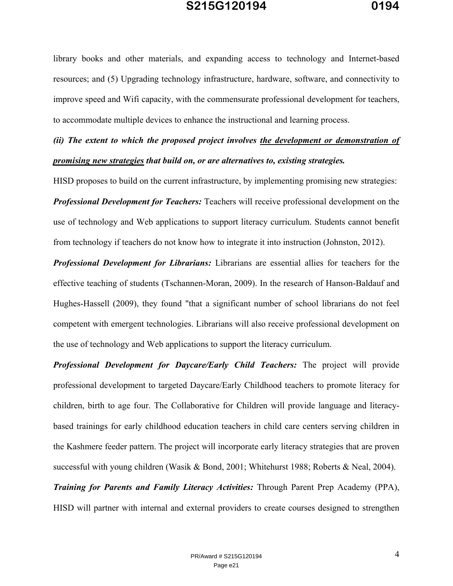library books and other materials, and expanding access to technology and Internet-based resources; and (5) Upgrading technology infrastructure, hardware, software, and connectivity to improve speed and Wifi capacity, with the commensurate professional development for teachers, to accommodate multiple devices to enhance the instructional and learning process.

## *(ii) The extent to which the proposed project involves the development or demonstration of promising new strategies that build on, or are alternatives to, existing strategies.*

HISD proposes to build on the current infrastructure, by implementing promising new strategies:

*Professional Development for Teachers:* Teachers will receive professional development on the use of technology and Web applications to support literacy curriculum. Students cannot benefit from technology if teachers do not know how to integrate it into instruction (Johnston, 2012).

*Professional Development for Librarians:* Librarians are essential allies for teachers for the effective teaching of students (Tschannen-Moran, 2009). In the research of Hanson-Baldauf and Hughes-Hassell (2009), they found "that a significant number of school librarians do not feel competent with emergent technologies. Librarians will also receive professional development on the use of technology and Web applications to support the literacy curriculum.

*Professional Development for Daycare/Early Child Teachers:* The project will provide professional development to targeted Daycare/Early Childhood teachers to promote literacy for children, birth to age four. The Collaborative for Children will provide language and literacybased trainings for early childhood education teachers in child care centers serving children in the Kashmere feeder pattern. The project will incorporate early literacy strategies that are proven successful with young children (Wasik & Bond, 2001; Whitehurst 1988; Roberts & Neal, 2004). *Training for Parents and Family Literacy Activities:* Through Parent Prep Academy (PPA), HISD will partner with internal and external providers to create courses designed to strengthen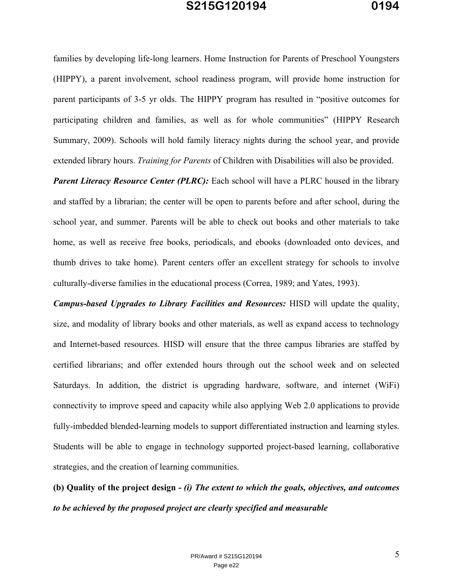families by developing life-long learners. Home Instruction for Parents of Preschool Youngsters (HIPPY), a parent involvement, school readiness program, will provide home instruction for parent participants of 3-5 yr olds. The HIPPY program has resulted in "positive outcomes for participating children and families, as well as for whole communities" (HIPPY Research Summary, 2009). Schools will hold family literacy nights during the school year, and provide extended library hours. *Training for Parents* of Children with Disabilities will also be provided.

**Parent Literacy Resource Center (PLRC):** Each school will have a PLRC housed in the library and staffed by a librarian; the center will be open to parents before and after school, during the school year, and summer. Parents will be able to check out books and other materials to take home, as well as receive free books, periodicals, and ebooks (downloaded onto devices, and thumb drives to take home). Parent centers offer an excellent strategy for schools to involve culturally-diverse families in the educational process (Correa, 1989; and Yates, 1993).

*Campus-based Upgrades to Library Facilities and Resources:* HISD will update the quality, size, and modality of library books and other materials, as well as expand access to technology and Internet-based resources. HISD will ensure that the three campus libraries are staffed by certified librarians; and offer extended hours through out the school week and on selected Saturdays. In addition, the district is upgrading hardware, software, and internet (WiFi) connectivity to improve speed and capacity while also applying Web 2.0 applications to provide fully-imbedded blended-learning models to support differentiated instruction and learning styles. Students will be able to engage in technology supported project-based learning, collaborative strategies, and the creation of learning communities.

**(b) Quality of the project design -** *(i) The extent to which the goals, objectives, and outcomes to be achieved by the proposed project are clearly specified and measurable*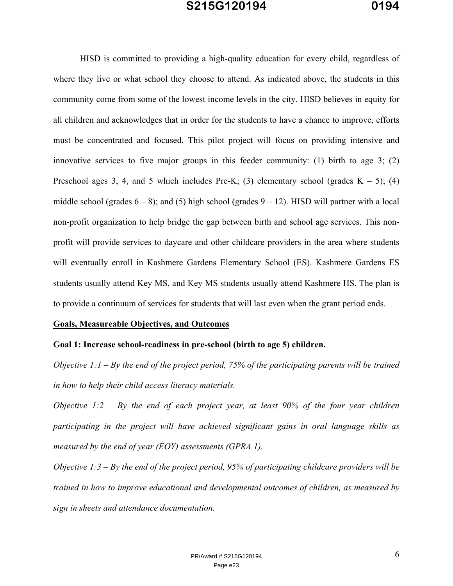HISD is committed to providing a high-quality education for every child, regardless of where they live or what school they choose to attend. As indicated above, the students in this community come from some of the lowest income levels in the city. HISD believes in equity for all children and acknowledges that in order for the students to have a chance to improve, efforts must be concentrated and focused. This pilot project will focus on providing intensive and innovative services to five major groups in this feeder community: (1) birth to age 3; (2) Preschool ages 3, 4, and 5 which includes Pre-K; (3) elementary school (grades  $K - 5$ ); (4) middle school (grades  $6 - 8$ ); and (5) high school (grades  $9 - 12$ ). HISD will partner with a local non-profit organization to help bridge the gap between birth and school age services. This nonprofit will provide services to daycare and other childcare providers in the area where students will eventually enroll in Kashmere Gardens Elementary School (ES). Kashmere Gardens ES students usually attend Key MS, and Key MS students usually attend Kashmere HS. The plan is to provide a continuum of services for students that will last even when the grant period ends.

#### **Goals, Measureable Objectives, and Outcomes**

**Goal 1: Increase school-readiness in pre-school (birth to age 5) children.** 

*Objective 1:1 – By the end of the project period, 75% of the participating parents will be trained in how to help their child access literacy materials.* 

*Objective 1:2 – By the end of each project year, at least 90% of the four year children participating in the project will have achieved significant gains in oral language skills as measured by the end of year (EOY) assessments (GPRA 1).* 

*Objective 1:3 – By the end of the project period, 95% of participating childcare providers will be trained in how to improve educational and developmental outcomes of children, as measured by sign in sheets and attendance documentation.*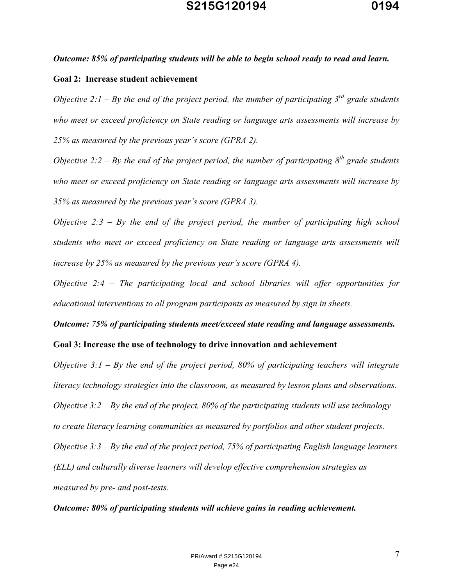#### *Outcome: 85% of participating students will be able to begin school ready to read and learn.*

#### **Goal 2: Increase student achievement**

*Objective 2:1 – By the end of the project period, the number of participating 3rd grade students who meet or exceed proficiency on State reading or language arts assessments will increase by 25% as measured by the previous year's score (GPRA 2).* 

*Objective 2:2 – By the end of the project period, the number of participating*  $8<sup>th</sup>$  *grade students who meet or exceed proficiency on State reading or language arts assessments will increase by 35% as measured by the previous year's score (GPRA 3).* 

*Objective 2:3 – By the end of the project period, the number of participating high school students who meet or exceed proficiency on State reading or language arts assessments will increase by 25% as measured by the previous year's score (GPRA 4).* 

*Objective 2:4 – The participating local and school libraries will offer opportunities for educational interventions to all program participants as measured by sign in sheets.* 

*Outcome: 75% of participating students meet/exceed state reading and language assessments.*  **Goal 3: Increase the use of technology to drive innovation and achievement** 

*Objective 3:1 – By the end of the project period, 80% of participating teachers will integrate literacy technology strategies into the classroom, as measured by lesson plans and observations. Objective 3:2 – By the end of the project, 80% of the participating students will use technology to create literacy learning communities as measured by portfolios and other student projects. Objective 3:3 – By the end of the project period, 75% of participating English language learners (ELL) and culturally diverse learners will develop effective comprehension strategies as measured by pre- and post-tests.* 

*Outcome: 80% of participating students will achieve gains in reading achievement.*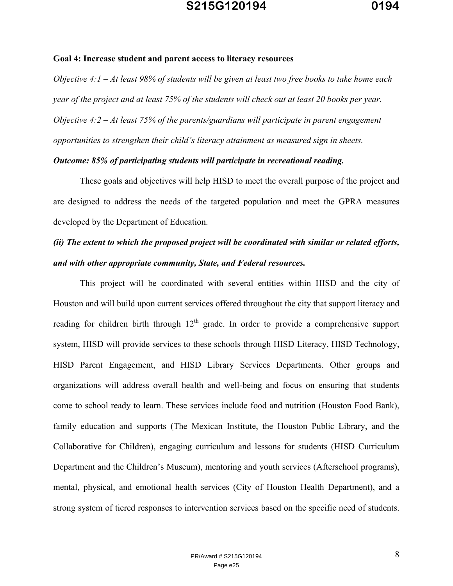#### **Goal 4: Increase student and parent access to literacy resources**

*Objective 4:1 – At least 98% of students will be given at least two free books to take home each year of the project and at least 75% of the students will check out at least 20 books per year. Objective 4:2 – At least 75% of the parents/guardians will participate in parent engagement opportunities to strengthen their child's literacy attainment as measured sign in sheets.* 

#### *Outcome: 85% of participating students will participate in recreational reading.*

These goals and objectives will help HISD to meet the overall purpose of the project and are designed to address the needs of the targeted population and meet the GPRA measures developed by the Department of Education.

# *(ii) The extent to which the proposed project will be coordinated with similar or related efforts, and with other appropriate community, State, and Federal resources.*

 This project will be coordinated with several entities within HISD and the city of Houston and will build upon current services offered throughout the city that support literacy and reading for children birth through  $12<sup>th</sup>$  grade. In order to provide a comprehensive support system, HISD will provide services to these schools through HISD Literacy, HISD Technology, HISD Parent Engagement, and HISD Library Services Departments. Other groups and organizations will address overall health and well-being and focus on ensuring that students come to school ready to learn. These services include food and nutrition (Houston Food Bank), family education and supports (The Mexican Institute, the Houston Public Library, and the Collaborative for Children), engaging curriculum and lessons for students (HISD Curriculum Department and the Children's Museum), mentoring and youth services (Afterschool programs), mental, physical, and emotional health services (City of Houston Health Department), and a strong system of tiered responses to intervention services based on the specific need of students.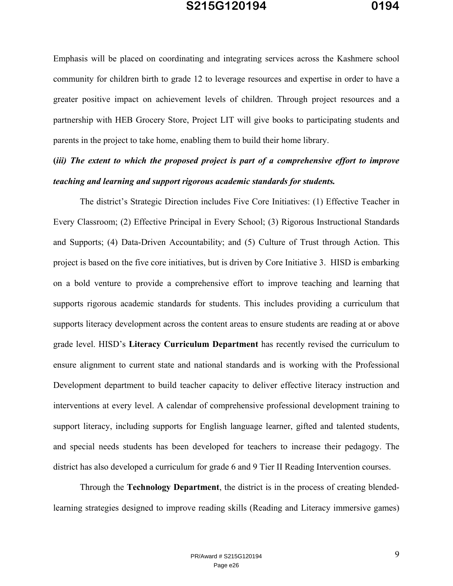Emphasis will be placed on coordinating and integrating services across the Kashmere school community for children birth to grade 12 to leverage resources and expertise in order to have a greater positive impact on achievement levels of children. Through project resources and a partnership with HEB Grocery Store, Project LIT will give books to participating students and parents in the project to take home, enabling them to build their home library.

## **(***iii) The extent to which the proposed project is part of a comprehensive effort to improve teaching and learning and support rigorous academic standards for students.*

The district's Strategic Direction includes Five Core Initiatives: (1) Effective Teacher in Every Classroom; (2) Effective Principal in Every School; (3) Rigorous Instructional Standards and Supports; (4) Data-Driven Accountability; and (5) Culture of Trust through Action. This project is based on the five core initiatives, but is driven by Core Initiative 3. HISD is embarking on a bold venture to provide a comprehensive effort to improve teaching and learning that supports rigorous academic standards for students. This includes providing a curriculum that supports literacy development across the content areas to ensure students are reading at or above grade level. HISD's **Literacy Curriculum Department** has recently revised the curriculum to ensure alignment to current state and national standards and is working with the Professional Development department to build teacher capacity to deliver effective literacy instruction and interventions at every level. A calendar of comprehensive professional development training to support literacy, including supports for English language learner, gifted and talented students, and special needs students has been developed for teachers to increase their pedagogy. The district has also developed a curriculum for grade 6 and 9 Tier II Reading Intervention courses.

Through the **Technology Department**, the district is in the process of creating blendedlearning strategies designed to improve reading skills (Reading and Literacy immersive games)

> PR/Award # S215G120194 Page e26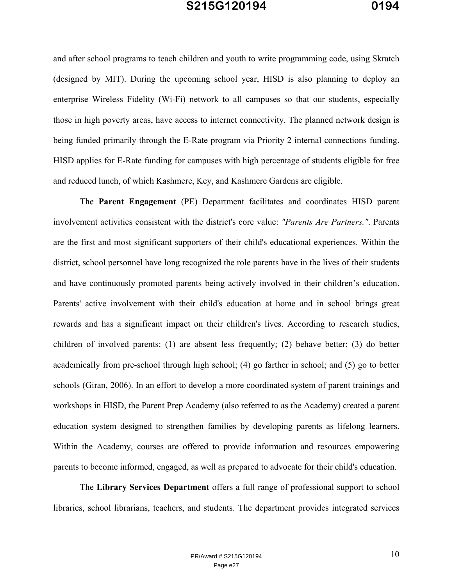and after school programs to teach children and youth to write programming code, using Skratch (designed by MIT). During the upcoming school year, HISD is also planning to deploy an enterprise Wireless Fidelity (Wi-Fi) network to all campuses so that our students, especially those in high poverty areas, have access to internet connectivity. The planned network design is being funded primarily through the E-Rate program via Priority 2 internal connections funding. HISD applies for E-Rate funding for campuses with high percentage of students eligible for free and reduced lunch, of which Kashmere, Key, and Kashmere Gardens are eligible.

The **Parent Engagement** (PE) Department facilitates and coordinates HISD parent involvement activities consistent with the district's core value: *"Parents Are Partners."*. Parents are the first and most significant supporters of their child's educational experiences. Within the district, school personnel have long recognized the role parents have in the lives of their students and have continuously promoted parents being actively involved in their children's education. Parents' active involvement with their child's education at home and in school brings great rewards and has a significant impact on their children's lives. According to research studies, children of involved parents: (1) are absent less frequently; (2) behave better; (3) do better academically from pre-school through high school; (4) go farther in school; and (5) go to better schools (Giran, 2006). In an effort to develop a more coordinated system of parent trainings and workshops in HISD, the Parent Prep Academy (also referred to as the Academy) created a parent education system designed to strengthen families by developing parents as lifelong learners. Within the Academy, courses are offered to provide information and resources empowering parents to become informed, engaged, as well as prepared to advocate for their child's education.

 The **Library Services Department** offers a full range of professional support to school libraries, school librarians, teachers, and students. The department provides integrated services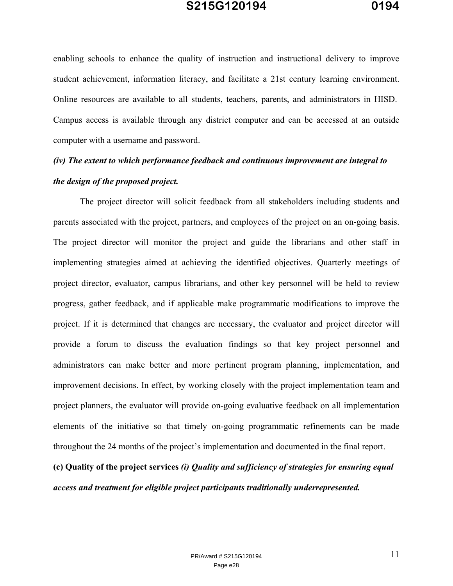enabling schools to enhance the quality of instruction and instructional delivery to improve student achievement, information literacy, and facilitate a 21st century learning environment. Online resources are available to all students, teachers, parents, and administrators in HISD. Campus access is available through any district computer and can be accessed at an outside computer with a username and password.

### *(iv) The extent to which performance feedback and continuous improvement are integral to the design of the proposed project.*

The project director will solicit feedback from all stakeholders including students and parents associated with the project, partners, and employees of the project on an on-going basis. The project director will monitor the project and guide the librarians and other staff in implementing strategies aimed at achieving the identified objectives. Quarterly meetings of project director, evaluator, campus librarians, and other key personnel will be held to review progress, gather feedback, and if applicable make programmatic modifications to improve the project. If it is determined that changes are necessary, the evaluator and project director will provide a forum to discuss the evaluation findings so that key project personnel and administrators can make better and more pertinent program planning, implementation, and improvement decisions. In effect, by working closely with the project implementation team and project planners, the evaluator will provide on-going evaluative feedback on all implementation elements of the initiative so that timely on-going programmatic refinements can be made throughout the 24 months of the project's implementation and documented in the final report.

**(c) Quality of the project services** *(i) Quality and sufficiency of strategies for ensuring equal access and treatment for eligible project participants traditionally underrepresented.*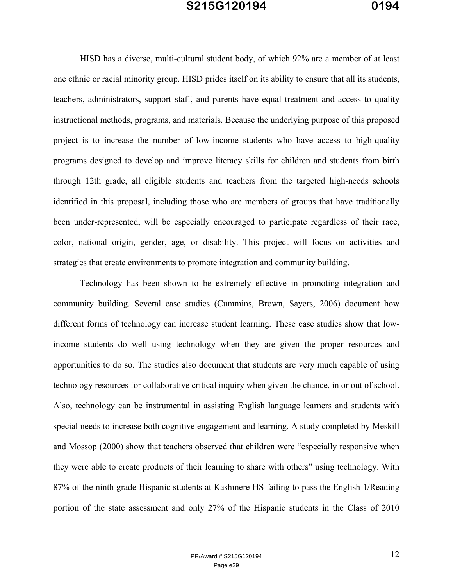HISD has a diverse, multi-cultural student body, of which 92% are a member of at least one ethnic or racial minority group. HISD prides itself on its ability to ensure that all its students, teachers, administrators, support staff, and parents have equal treatment and access to quality instructional methods, programs, and materials. Because the underlying purpose of this proposed project is to increase the number of low-income students who have access to high-quality programs designed to develop and improve literacy skills for children and students from birth through 12th grade, all eligible students and teachers from the targeted high-needs schools identified in this proposal, including those who are members of groups that have traditionally been under-represented, will be especially encouraged to participate regardless of their race, color, national origin, gender, age, or disability. This project will focus on activities and strategies that create environments to promote integration and community building.

Technology has been shown to be extremely effective in promoting integration and community building. Several case studies (Cummins, Brown, Sayers, 2006) document how different forms of technology can increase student learning. These case studies show that lowincome students do well using technology when they are given the proper resources and opportunities to do so. The studies also document that students are very much capable of using technology resources for collaborative critical inquiry when given the chance, in or out of school. Also, technology can be instrumental in assisting English language learners and students with special needs to increase both cognitive engagement and learning. A study completed by Meskill and Mossop (2000) show that teachers observed that children were "especially responsive when they were able to create products of their learning to share with others" using technology. With 87% of the ninth grade Hispanic students at Kashmere HS failing to pass the English 1/Reading portion of the state assessment and only 27% of the Hispanic students in the Class of 2010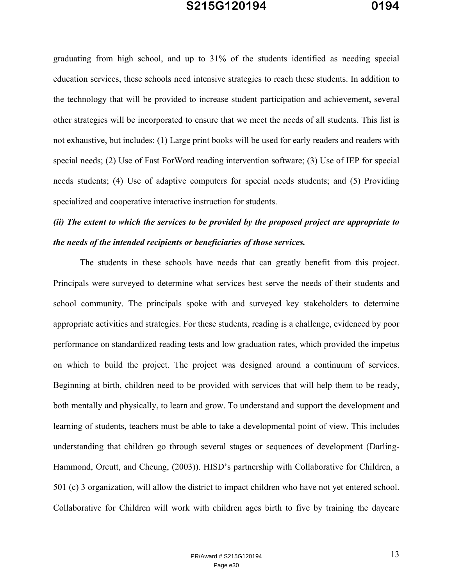graduating from high school, and up to 31% of the students identified as needing special education services, these schools need intensive strategies to reach these students. In addition to the technology that will be provided to increase student participation and achievement, several other strategies will be incorporated to ensure that we meet the needs of all students. This list is not exhaustive, but includes: (1) Large print books will be used for early readers and readers with special needs; (2) Use of Fast ForWord reading intervention software; (3) Use of IEP for special needs students; (4) Use of adaptive computers for special needs students; and (5) Providing specialized and cooperative interactive instruction for students.

## *(ii) The extent to which the services to be provided by the proposed project are appropriate to the needs of the intended recipients or beneficiaries of those services.*

 The students in these schools have needs that can greatly benefit from this project. Principals were surveyed to determine what services best serve the needs of their students and school community. The principals spoke with and surveyed key stakeholders to determine appropriate activities and strategies. For these students, reading is a challenge, evidenced by poor performance on standardized reading tests and low graduation rates, which provided the impetus on which to build the project. The project was designed around a continuum of services. Beginning at birth, children need to be provided with services that will help them to be ready, both mentally and physically, to learn and grow. To understand and support the development and learning of students, teachers must be able to take a developmental point of view. This includes understanding that children go through several stages or sequences of development (Darling-Hammond, Orcutt, and Cheung, (2003)). HISD's partnership with Collaborative for Children, a 501 (c) 3 organization, will allow the district to impact children who have not yet entered school. Collaborative for Children will work with children ages birth to five by training the daycare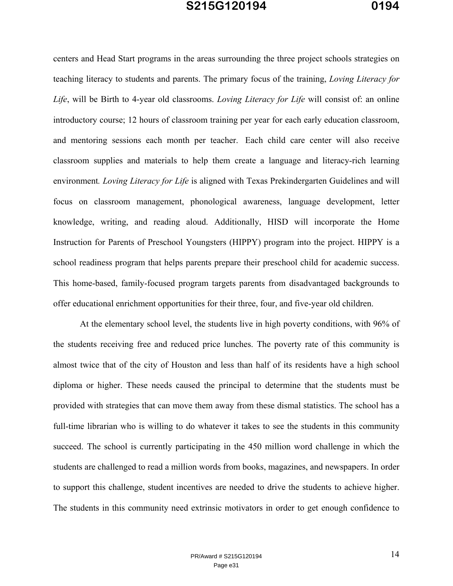centers and Head Start programs in the areas surrounding the three project schools strategies on teaching literacy to students and parents. The primary focus of the training, *Loving Literacy for Life*, will be Birth to 4-year old classrooms. *Loving Literacy for Life* will consist of: an online introductory course; 12 hours of classroom training per year for each early education classroom, and mentoring sessions each month per teacher. Each child care center will also receive classroom supplies and materials to help them create a language and literacy-rich learning environment*. Loving Literacy for Life* is aligned with Texas Prekindergarten Guidelines and will focus on classroom management, phonological awareness, language development, letter knowledge, writing, and reading aloud. Additionally, HISD will incorporate the Home Instruction for Parents of Preschool Youngsters (HIPPY) program into the project. HIPPY is a school readiness program that helps parents prepare their preschool child for academic success. This home-based, family-focused program targets parents from disadvantaged backgrounds to offer educational enrichment opportunities for their three, four, and five-year old children.

 At the elementary school level, the students live in high poverty conditions, with 96% of the students receiving free and reduced price lunches. The poverty rate of this community is almost twice that of the city of Houston and less than half of its residents have a high school diploma or higher. These needs caused the principal to determine that the students must be provided with strategies that can move them away from these dismal statistics. The school has a full-time librarian who is willing to do whatever it takes to see the students in this community succeed. The school is currently participating in the 450 million word challenge in which the students are challenged to read a million words from books, magazines, and newspapers. In order to support this challenge, student incentives are needed to drive the students to achieve higher. The students in this community need extrinsic motivators in order to get enough confidence to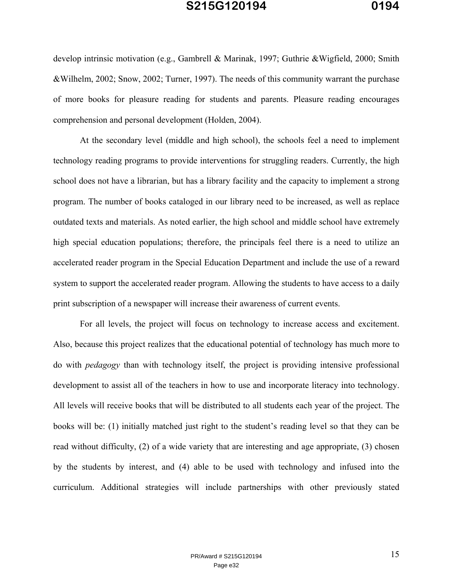develop intrinsic motivation (e.g., Gambrell & Marinak, 1997; Guthrie &Wigfield, 2000; Smith &Wilhelm, 2002; Snow, 2002; Turner, 1997). The needs of this community warrant the purchase of more books for pleasure reading for students and parents. Pleasure reading encourages comprehension and personal development (Holden, 2004).

 At the secondary level (middle and high school), the schools feel a need to implement technology reading programs to provide interventions for struggling readers. Currently, the high school does not have a librarian, but has a library facility and the capacity to implement a strong program. The number of books cataloged in our library need to be increased, as well as replace outdated texts and materials. As noted earlier, the high school and middle school have extremely high special education populations; therefore, the principals feel there is a need to utilize an accelerated reader program in the Special Education Department and include the use of a reward system to support the accelerated reader program. Allowing the students to have access to a daily print subscription of a newspaper will increase their awareness of current events.

For all levels, the project will focus on technology to increase access and excitement. Also, because this project realizes that the educational potential of technology has much more to do with *pedagogy* than with technology itself, the project is providing intensive professional development to assist all of the teachers in how to use and incorporate literacy into technology. All levels will receive books that will be distributed to all students each year of the project. The books will be: (1) initially matched just right to the student's reading level so that they can be read without difficulty, (2) of a wide variety that are interesting and age appropriate, (3) chosen by the students by interest, and (4) able to be used with technology and infused into the curriculum. Additional strategies will include partnerships with other previously stated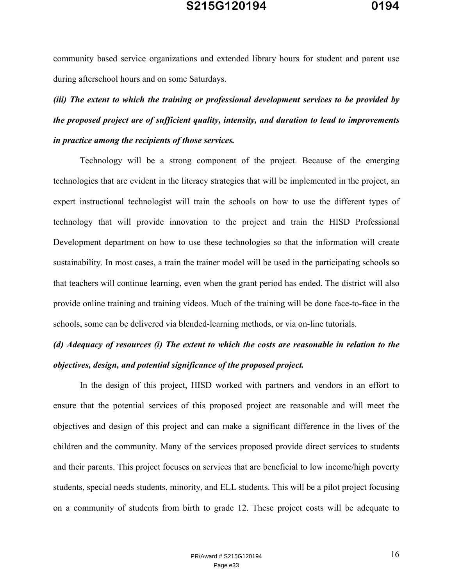community based service organizations and extended library hours for student and parent use during afterschool hours and on some Saturdays.

*(iii) The extent to which the training or professional development services to be provided by the proposed project are of sufficient quality, intensity, and duration to lead to improvements in practice among the recipients of those services.* 

Technology will be a strong component of the project. Because of the emerging technologies that are evident in the literacy strategies that will be implemented in the project, an expert instructional technologist will train the schools on how to use the different types of technology that will provide innovation to the project and train the HISD Professional Development department on how to use these technologies so that the information will create sustainability. In most cases, a train the trainer model will be used in the participating schools so that teachers will continue learning, even when the grant period has ended. The district will also provide online training and training videos. Much of the training will be done face-to-face in the schools, some can be delivered via blended-learning methods, or via on-line tutorials.

## *(d) Adequacy of resources (i) The extent to which the costs are reasonable in relation to the objectives, design, and potential significance of the proposed project.*

 In the design of this project, HISD worked with partners and vendors in an effort to ensure that the potential services of this proposed project are reasonable and will meet the objectives and design of this project and can make a significant difference in the lives of the children and the community. Many of the services proposed provide direct services to students and their parents. This project focuses on services that are beneficial to low income/high poverty students, special needs students, minority, and ELL students. This will be a pilot project focusing on a community of students from birth to grade 12. These project costs will be adequate to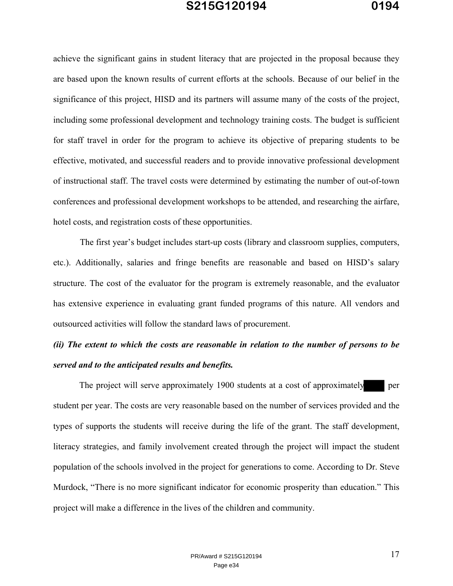achieve the significant gains in student literacy that are projected in the proposal because they are based upon the known results of current efforts at the schools. Because of our belief in the significance of this project, HISD and its partners will assume many of the costs of the project, including some professional development and technology training costs. The budget is sufficient for staff travel in order for the program to achieve its objective of preparing students to be effective, motivated, and successful readers and to provide innovative professional development of instructional staff. The travel costs were determined by estimating the number of out-of-town conferences and professional development workshops to be attended, and researching the airfare, hotel costs, and registration costs of these opportunities.

The first year's budget includes start-up costs (library and classroom supplies, computers, etc.). Additionally, salaries and fringe benefits are reasonable and based on HISD's salary structure. The cost of the evaluator for the program is extremely reasonable, and the evaluator has extensive experience in evaluating grant funded programs of this nature. All vendors and outsourced activities will follow the standard laws of procurement.

## *(ii) The extent to which the costs are reasonable in relation to the number of persons to be served and to the anticipated results and benefits.*

The project will serve approximately 1900 students at a cost of approximately per student per year. The costs are very reasonable based on the number of services provided and the types of supports the students will receive during the life of the grant. The staff development, literacy strategies, and family involvement created through the project will impact the student population of the schools involved in the project for generations to come. According to Dr. Steve Murdock, "There is no more significant indicator for economic prosperity than education." This project will make a difference in the lives of the children and community.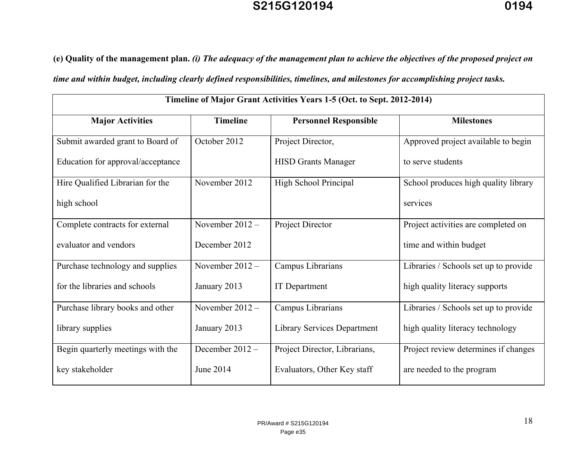**(e) Quality of the management plan.** *(i) The adequacy of the management plan to achieve the objectives of the proposed project on* 

*time and within budget, including clearly defined responsibilities, timelines, and milestones for accomplishing project tasks.*

| Timeline of Major Grant Activities Years 1-5 (Oct. to Sept. 2012-2014) |                   |                                    |                                       |  |  |  |
|------------------------------------------------------------------------|-------------------|------------------------------------|---------------------------------------|--|--|--|
| <b>Major Activities</b>                                                | <b>Timeline</b>   | <b>Personnel Responsible</b>       | <b>Milestones</b>                     |  |  |  |
| Submit awarded grant to Board of                                       | October 2012      | Project Director,                  | Approved project available to begin   |  |  |  |
| Education for approval/acceptance                                      |                   | <b>HISD Grants Manager</b>         | to serve students                     |  |  |  |
| Hire Qualified Librarian for the                                       | November 2012     | High School Principal              | School produces high quality library  |  |  |  |
| high school                                                            |                   |                                    | services                              |  |  |  |
| Complete contracts for external                                        | November $2012 -$ | Project Director                   | Project activities are completed on   |  |  |  |
| evaluator and vendors                                                  | December 2012     |                                    | time and within budget                |  |  |  |
| Purchase technology and supplies                                       | November $2012 -$ | Campus Librarians                  | Libraries / Schools set up to provide |  |  |  |
| for the libraries and schools                                          | January 2013      | <b>IT</b> Department               | high quality literacy supports        |  |  |  |
| Purchase library books and other                                       | November $2012 -$ | Campus Librarians                  | Libraries / Schools set up to provide |  |  |  |
| library supplies                                                       | January 2013      | <b>Library Services Department</b> | high quality literacy technology      |  |  |  |
| Begin quarterly meetings with the                                      | December $2012 -$ | Project Director, Librarians,      | Project review determines if changes  |  |  |  |
| key stakeholder                                                        | June 2014         | Evaluators, Other Key staff        | are needed to the program             |  |  |  |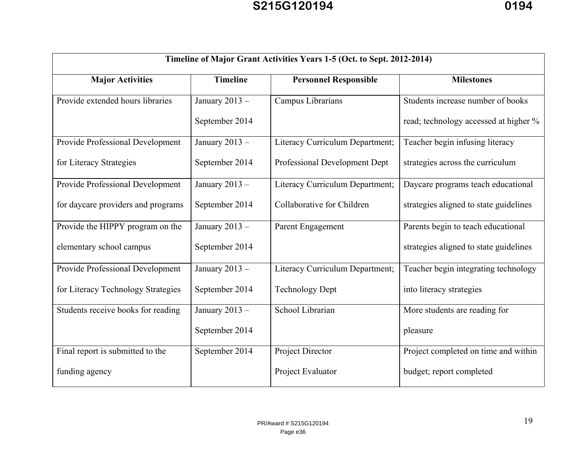| Timeline of Major Grant Activities Years 1-5 (Oct. to Sept. 2012-2014) |                                                 |                                 |                                        |  |  |  |
|------------------------------------------------------------------------|-------------------------------------------------|---------------------------------|----------------------------------------|--|--|--|
| <b>Major Activities</b>                                                | <b>Timeline</b><br><b>Personnel Responsible</b> |                                 | <b>Milestones</b>                      |  |  |  |
| Provide extended hours libraries                                       | January 2013 -<br>Campus Librarians             |                                 | Students increase number of books      |  |  |  |
|                                                                        | September 2014                                  |                                 | read; technology accessed at higher %  |  |  |  |
| Provide Professional Development                                       | January 2013 -                                  | Literacy Curriculum Department; | Teacher begin infusing literacy        |  |  |  |
| for Literacy Strategies                                                | September 2014                                  | Professional Development Dept   | strategies across the curriculum       |  |  |  |
| Provide Professional Development                                       | January 2013 -                                  | Literacy Curriculum Department; | Daycare programs teach educational     |  |  |  |
| for daycare providers and programs                                     | September 2014                                  | Collaborative for Children      | strategies aligned to state guidelines |  |  |  |
| Provide the HIPPY program on the                                       | January 2013 -                                  | Parent Engagement               | Parents begin to teach educational     |  |  |  |
| elementary school campus                                               | September 2014                                  |                                 | strategies aligned to state guidelines |  |  |  |
| Provide Professional Development                                       | January 2013 -                                  | Literacy Curriculum Department; | Teacher begin integrating technology   |  |  |  |
| for Literacy Technology Strategies                                     | September 2014                                  | <b>Technology Dept</b>          | into literacy strategies               |  |  |  |
| Students receive books for reading                                     | January 2013 -                                  | School Librarian                | More students are reading for          |  |  |  |
|                                                                        | September 2014                                  |                                 | pleasure                               |  |  |  |
| Final report is submitted to the                                       | September 2014                                  | Project Director                | Project completed on time and within   |  |  |  |
| funding agency                                                         |                                                 | Project Evaluator               | budget; report completed               |  |  |  |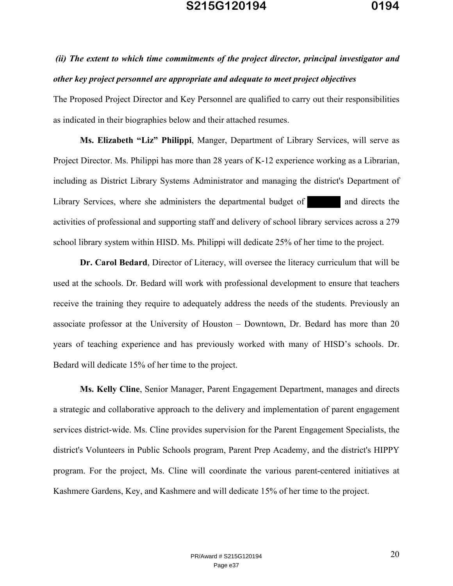## *(ii) The extent to which time commitments of the project director, principal investigator and other key project personnel are appropriate and adequate to meet project objectives*

The Proposed Project Director and Key Personnel are qualified to carry out their responsibilities as indicated in their biographies below and their attached resumes.

**Ms. Elizabeth "Liz" Philippi**, Manger, Department of Library Services, will serve as Project Director. Ms. Philippi has more than 28 years of K-12 experience working as a Librarian, including as District Library Systems Administrator and managing the district's Department of Library Services, where she administers the departmental budget of and directs the activities of professional and supporting staff and delivery of school library services across a 279 school library system within HISD. Ms. Philippi will dedicate 25% of her time to the project.

**Dr. Carol Bedard**, Director of Literacy, will oversee the literacy curriculum that will be used at the schools. Dr. Bedard will work with professional development to ensure that teachers receive the training they require to adequately address the needs of the students. Previously an associate professor at the University of Houston – Downtown, Dr. Bedard has more than 20 years of teaching experience and has previously worked with many of HISD's schools. Dr. Bedard will dedicate 15% of her time to the project.

**Ms. Kelly Cline**, Senior Manager, Parent Engagement Department, manages and directs a strategic and collaborative approach to the delivery and implementation of parent engagement services district-wide. Ms. Cline provides supervision for the Parent Engagement Specialists, the district's Volunteers in Public Schools program, Parent Prep Academy, and the district's HIPPY program. For the project, Ms. Cline will coordinate the various parent-centered initiatives at Kashmere Gardens, Key, and Kashmere and will dedicate 15% of her time to the project.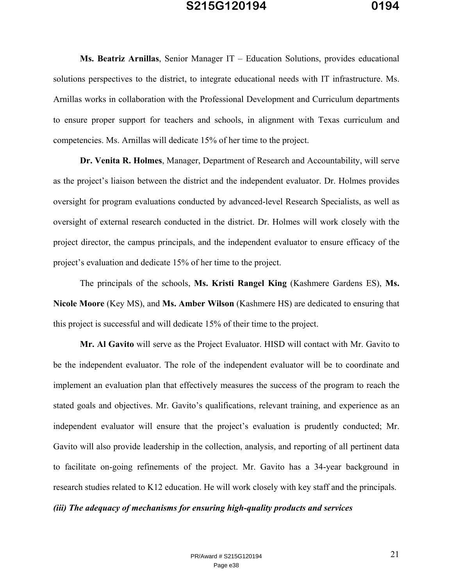**Ms. Beatriz Arnillas**, Senior Manager IT – Education Solutions, provides educational solutions perspectives to the district, to integrate educational needs with IT infrastructure. Ms. Arnillas works in collaboration with the Professional Development and Curriculum departments to ensure proper support for teachers and schools, in alignment with Texas curriculum and competencies. Ms. Arnillas will dedicate 15% of her time to the project.

 **Dr. Venita R. Holmes**, Manager, Department of Research and Accountability, will serve as the project's liaison between the district and the independent evaluator. Dr. Holmes provides oversight for program evaluations conducted by advanced-level Research Specialists, as well as oversight of external research conducted in the district. Dr. Holmes will work closely with the project director, the campus principals, and the independent evaluator to ensure efficacy of the project's evaluation and dedicate 15% of her time to the project.

 The principals of the schools, **Ms. Kristi Rangel King** (Kashmere Gardens ES), **Ms. Nicole Moore** (Key MS), and **Ms. Amber Wilson** (Kashmere HS) are dedicated to ensuring that this project is successful and will dedicate 15% of their time to the project.

**Mr. Al Gavito** will serve as the Project Evaluator. HISD will contact with Mr. Gavito to be the independent evaluator. The role of the independent evaluator will be to coordinate and implement an evaluation plan that effectively measures the success of the program to reach the stated goals and objectives. Mr. Gavito's qualifications, relevant training, and experience as an independent evaluator will ensure that the project's evaluation is prudently conducted; Mr. Gavito will also provide leadership in the collection, analysis, and reporting of all pertinent data to facilitate on-going refinements of the project. Mr. Gavito has a 34-year background in research studies related to K12 education. He will work closely with key staff and the principals.

#### *(iii) The adequacy of mechanisms for ensuring high-quality products and services*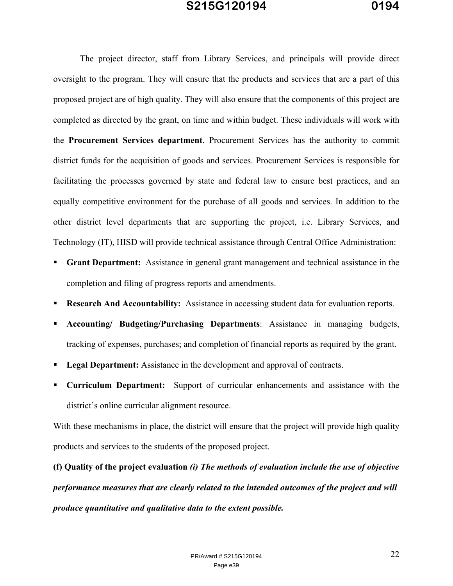The project director, staff from Library Services, and principals will provide direct oversight to the program. They will ensure that the products and services that are a part of this proposed project are of high quality. They will also ensure that the components of this project are completed as directed by the grant, on time and within budget. These individuals will work with the **Procurement Services department**. Procurement Services has the authority to commit district funds for the acquisition of goods and services. Procurement Services is responsible for facilitating the processes governed by state and federal law to ensure best practices, and an equally competitive environment for the purchase of all goods and services. In addition to the other district level departments that are supporting the project, i.e. Library Services, and Technology (IT), HISD will provide technical assistance through Central Office Administration:

- **Grant Department:** Assistance in general grant management and technical assistance in the completion and filing of progress reports and amendments.
- **Research And Accountability:** Assistance in accessing student data for evaluation reports.
- **Accounting/ Budgeting/Purchasing Departments**: Assistance in managing budgets, tracking of expenses, purchases; and completion of financial reports as required by the grant.
- **Legal Department:** Assistance in the development and approval of contracts.
- **Curriculum Department:** Support of curricular enhancements and assistance with the district's online curricular alignment resource.

With these mechanisms in place, the district will ensure that the project will provide high quality products and services to the students of the proposed project.

**(f) Quality of the project evaluation** *(i) The methods of evaluation include the use of objective performance measures that are clearly related to the intended outcomes of the project and will produce quantitative and qualitative data to the extent possible.*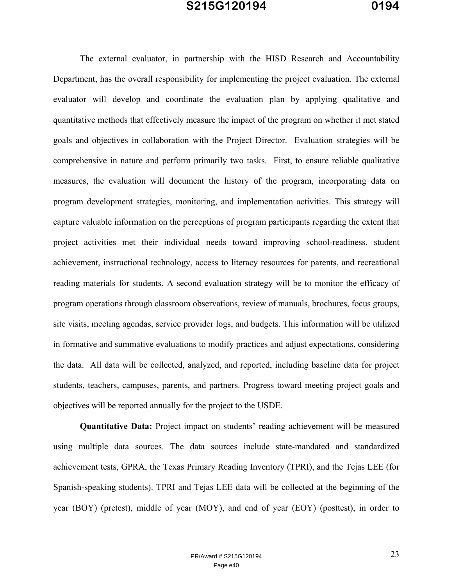The external evaluator, in partnership with the HISD Research and Accountability Department, has the overall responsibility for implementing the project evaluation. The external evaluator will develop and coordinate the evaluation plan by applying qualitative and quantitative methods that effectively measure the impact of the program on whether it met stated goals and objectives in collaboration with the Project Director. Evaluation strategies will be comprehensive in nature and perform primarily two tasks. First, to ensure reliable qualitative measures, the evaluation will document the history of the program, incorporating data on program development strategies, monitoring, and implementation activities. This strategy will capture valuable information on the perceptions of program participants regarding the extent that project activities met their individual needs toward improving school-readiness, student achievement, instructional technology, access to literacy resources for parents, and recreational reading materials for students. A second evaluation strategy will be to monitor the efficacy of program operations through classroom observations, review of manuals, brochures, focus groups, site visits, meeting agendas, service provider logs, and budgets. This information will be utilized in formative and summative evaluations to modify practices and adjust expectations, considering the data. All data will be collected, analyzed, and reported, including baseline data for project students, teachers, campuses, parents, and partners. Progress toward meeting project goals and objectives will be reported annually for the project to the USDE.

**Quantitative Data:** Project impact on students' reading achievement will be measured using multiple data sources. The data sources include state-mandated and standardized achievement tests, GPRA, the Texas Primary Reading Inventory (TPRI), and the Tejas LEE (for Spanish-speaking students). TPRI and Tejas LEE data will be collected at the beginning of the year (BOY) (pretest), middle of year (MOY), and end of year (EOY) (posttest), in order to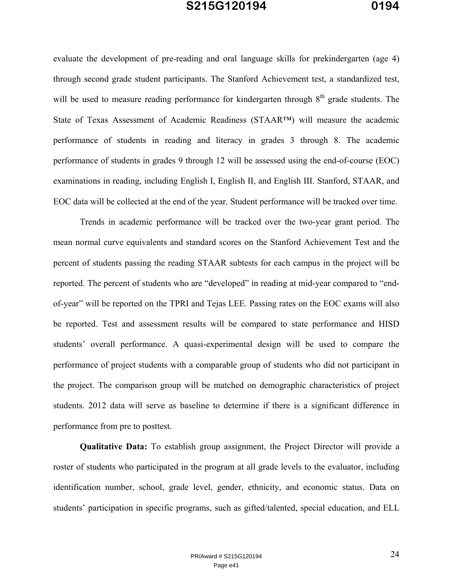evaluate the development of pre-reading and oral language skills for prekindergarten (age 4) through second grade student participants. The Stanford Achievement test, a standardized test, will be used to measure reading performance for kindergarten through  $8<sup>th</sup>$  grade students. The State of Texas Assessment of Academic Readiness (STAAR™) will measure the academic performance of students in reading and literacy in grades 3 through 8. The academic performance of students in grades 9 through 12 will be assessed using the end-of-course (EOC) examinations in reading, including English I, English II, and English III. Stanford, STAAR, and EOC data will be collected at the end of the year. Student performance will be tracked over time.

Trends in academic performance will be tracked over the two-year grant period. The mean normal curve equivalents and standard scores on the Stanford Achievement Test and the percent of students passing the reading STAAR subtests for each campus in the project will be reported. The percent of students who are "developed" in reading at mid-year compared to "endof-year" will be reported on the TPRI and Tejas LEE. Passing rates on the EOC exams will also be reported. Test and assessment results will be compared to state performance and HISD students' overall performance. A quasi-experimental design will be used to compare the performance of project students with a comparable group of students who did not participant in the project. The comparison group will be matched on demographic characteristics of project students. 2012 data will serve as baseline to determine if there is a significant difference in performance from pre to posttest.

 **Qualitative Data:** To establish group assignment, the Project Director will provide a roster of students who participated in the program at all grade levels to the evaluator, including identification number, school, grade level, gender, ethnicity, and economic status. Data on students' participation in specific programs, such as gifted/talented, special education, and ELL